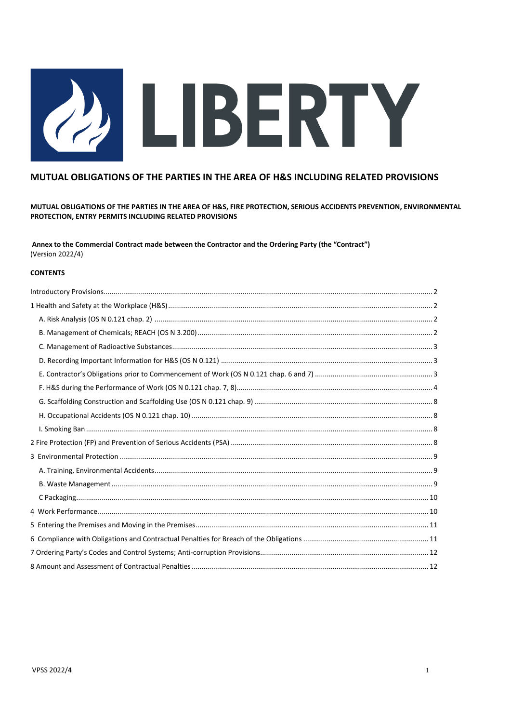# (2) LIBERTY

# MUTUAL OBLIGATIONS OF THE PARTIES IN THE AREA OF H&S INCLUDING RELATED PROVISIONS

MUTUAL OBLIGATIONS OF THE PARTIES IN THE AREA OF H&S, FIRE PROTECTION, SERIOUS ACCIDENTS PREVENTION, ENVIRONMENTAL PROTECTION, ENTRY PERMITS INCLUDING RELATED PROVISIONS

Annex to the Commercial Contract made between the Contractor and the Ordering Party (the "Contract") (Version 2022/4)

## **CONTENTS**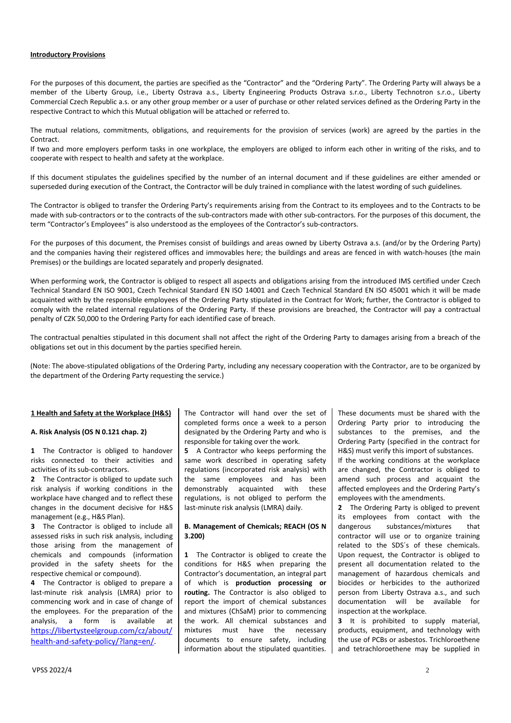#### **Introductory Provisions**

For the purposes of this document, the parties are specified as the "Contractor" and the "Ordering Party". The Ordering Party will always be a member of the Liberty Group, i.e., Liberty Ostrava a.s., Liberty Engineering Products Ostrava s.r.o., Liberty Technotron s.r.o., Liberty Commercial Czech Republic a.s. or any other group member or a user of purchase or other related services defined as the Ordering Party in the respective Contract to which this Mutual obligation will be attached or referred to.

The mutual relations, commitments, obligations, and requirements for the provision of services (work) are agreed by the parties in the Contract.

If two and more employers perform tasks in one workplace, the employers are obliged to inform each other in writing of the risks, and to cooperate with respect to health and safety at the workplace.

If this document stipulates the guidelines specified by the number of an internal document and if these guidelines are either amended or superseded during execution of the Contract, the Contractor will be duly trained in compliance with the latest wording of such guidelines.

The Contractor is obliged to transfer the Ordering Party's requirements arising from the Contract to its employees and to the Contracts to be made with sub-contractors or to the contracts of the sub-contractors made with other sub-contractors. For the purposes of this document, the term "Contractor's Employees" is also understood as the employees of the Contractor's sub-contractors.

For the purposes of this document, the Premises consist of buildings and areas owned by Liberty Ostrava a.s. (and/or by the Ordering Party) and the companies having their registered offices and immovables here; the buildings and areas are fenced in with watch-houses (the main Premises) or the buildings are located separately and properly designated.

When performing work, the Contractor is obliged to respect all aspects and obligations arising from the introduced IMS certified under Czech Technical Standard EN ISO 9001, Czech Technical Standard EN ISO 14001 and Czech Technical Standard EN ISO 45001 which it will be made acquainted with by the responsible employees of the Ordering Party stipulated in the Contract for Work; further, the Contractor is obliged to comply with the related internal regulations of the Ordering Party. If these provisions are breached, the Contractor will pay a contractual penalty of CZK 50,000 to the Ordering Party for each identified case of breach.

The contractual penalties stipulated in this document shall not affect the right of the Ordering Party to damages arising from a breach of the obligations set out in this document by the parties specified herein.

(Note: The above-stipulated obligations of the Ordering Party, including any necessary cooperation with the Contractor, are to be organized by the department of the Ordering Party requesting the service.)

#### **1 Health and Safety at the Workplace (H&S)**

#### **A. Risk Analysis (OS N 0.121 chap. 2)**

**1** The Contractor is obliged to handover risks connected to their activities and activities of its sub-contractors.

**2** The Contractor is obliged to update such risk analysis if working conditions in the workplace have changed and to reflect these changes in the document decisive for H&S management (e.g., H&S Plan).

**3** The Contractor is obliged to include all assessed risks in such risk analysis, including those arising from the management of chemicals and compounds (information provided in the safety sheets for the respective chemical or compound).

**4** The Contractor is obliged to prepare a last-minute risk analysis (LMRA) prior to commencing work and in case of change of the employees. For the preparation of the analysis, a form is available at [https://libertysteelgroup.com/cz/about/](https://libertysteelgroup.com/cz/about/health-and-safety-policy/?lang=en) [health-and-safety-policy/?lang=en/.](https://libertysteelgroup.com/cz/about/health-and-safety-policy/?lang=en)

The Contractor will hand over the set of completed forms once a week to a person designated by the Ordering Party and who is responsible for taking over the work.

**5** A Contractor who keeps performing the same work described in operating safety regulations (incorporated risk analysis) with the same employees and has been demonstrably acquainted with these regulations, is not obliged to perform the last-minute risk analysis (LMRA) daily.

#### **B. Management of Chemicals; REACH (OS N 3.200)**

**1** The Contractor is obliged to create the conditions for H&S when preparing the Contractor's documentation, an integral part of which is **production processing or routing.** The Contractor is also obliged to report the import of chemical substances and mixtures (ChSaM) prior to commencing the work. All chemical substances and mixtures must have the necessary documents to ensure safety, including information about the stipulated quantities.

These documents must be shared with the Ordering Party prior to introducing the substances to the premises, and the Ordering Party (specified in the contract for H&S) must verify this import of substances.

If the working conditions at the workplace are changed, the Contractor is obliged to amend such process and acquaint the affected employees and the Ordering Party's employees with the amendments.

**2** The Ordering Party is obliged to prevent its employees from contact with the dangerous substances/mixtures that contractor will use or to organize training related to the SDS´s of these chemicals. Upon request, the Contractor is obliged to present all documentation related to the management of hazardous chemicals and biocides or herbicides to the authorized person from Liberty Ostrava a.s., and such documentation will be available for inspection at the workplace.

**3** It is prohibited to supply material, products, equipment, and technology with the use of PCBs or asbestos. Trichloroethene and tetrachloroethene may be supplied in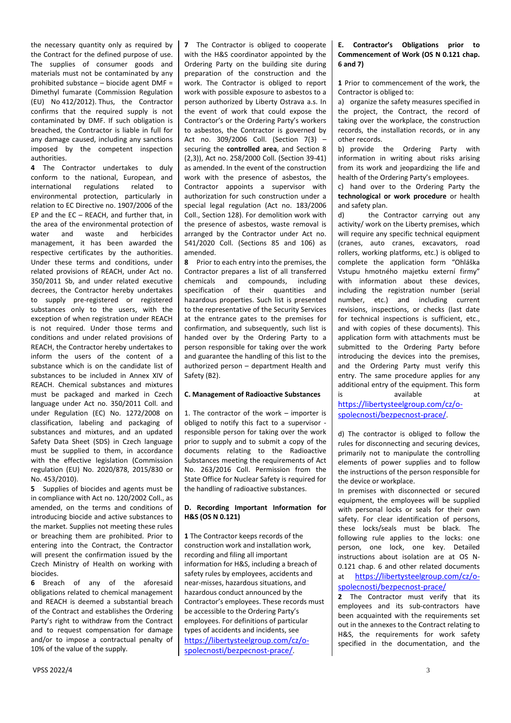the necessary quantity only as required by the Contract for the defined purpose of use. The supplies of consumer goods and materials must not be contaminated by any prohibited substance – biocide agent DMF = Dimethyl fumarate (Commission Regulation (EU) No 412/2012). Thus, the Contractor confirms that the required supply is not contaminated by DMF. If such obligation is breached, the Contractor is liable in full for any damage caused, including any sanctions imposed by the competent inspection authorities.

**4** The Contractor undertakes to duly conform to the national, European, and international regulations related to environmental protection, particularly in relation to EC Directive no. 1907/2006 of the EP and the EC – REACH, and further that, in the area of the environmental protection of water and waste and herbicides management, it has been awarded the respective certificates by the authorities. Under these terms and conditions, under related provisions of REACH, under Act no. 350/2011 Sb, and under related executive decrees, the Contractor hereby undertakes to supply pre-registered or registered substances only to the users, with the exception of when registration under REACH is not required. Under those terms and conditions and under related provisions of REACH, the Contractor hereby undertakes to inform the users of the content of a substance which is on the candidate list of substances to be included in Annex XIV of REACH. Chemical substances and mixtures must be packaged and marked in Czech language under Act no. 350/2011 Coll. and under Regulation (EC) No. 1272/2008 on classification, labeling and packaging of substances and mixtures, and an updated Safety Data Sheet (SDS) in Czech language must be supplied to them, in accordance with the effective legislation (Commission regulation (EU) No. 2020/878, 2015/830 or No. 453/2010).

**5** Supplies of biocides and agents must be in compliance with Act no. 120/2002 Coll., as amended, on the terms and conditions of introducing biocide and active substances to the market. Supplies not meeting these rules or breaching them are prohibited. Prior to entering into the Contract, the Contractor will present the confirmation issued by the Czech Ministry of Health on working with biocides.

**6** Breach of any of the aforesaid obligations related to chemical management and REACH is deemed a substantial breach of the Contract and establishes the Ordering Party's right to withdraw from the Contract and to request compensation for damage and/or to impose a contractual penalty of 10% of the value of the supply.

**7** The Contractor is obliged to cooperate with the H&S coordinator appointed by the Ordering Party on the building site during preparation of the construction and the work. The Contractor is obliged to report work with possible exposure to asbestos to a person authorized by Liberty Ostrava a.s. In the event of work that could expose the Contractor's or the Ordering Party's workers to asbestos, the Contractor is governed by Act no. 309/2006 Coll. (Section 7(3) – securing the **controlled area**, and Section 8 (2,3)), Act no. 258/2000 Coll. (Section 39-41) as amended. In the event of the construction work with the presence of asbestos, the Contractor appoints a supervisor with authorization for such construction under a special legal regulation (Act no. 183/2006 Coll., Section 128). For demolition work with the presence of asbestos, waste removal is arranged by the Contractor under Act no. 541/2020 Coll. (Sections 85 and 106) as amended.

**8** Prior to each entry into the premises, the Contractor prepares a list of all transferred chemicals and compounds, including specification of their quantities and hazardous properties. Such list is presented to the representative of the Security Services at the entrance gates to the premises for confirmation, and subsequently, such list is handed over by the Ordering Party to a person responsible for taking over the work and guarantee the handling of this list to the authorized person – department Health and Safety (B2).

#### **C. Management of Radioactive Substances**

1. The contractor of the work – importer is obliged to notify this fact to a supervisor responsible person for taking over the work prior to supply and to submit a copy of the documents relating to the Radioactive Substances meeting the requirements of Act No. 263/2016 Coll. Permission from the State Office for Nuclear Safety is required for the handling of radioactive substances.

## **D. Recording Important Information for H&S (OS N 0.121)**

**1** The Contractor keeps records of the construction work and installation work, recording and filing all important information for H&S, including a breach of safety rules by employees, accidents and near-misses, hazardous situations, and hazardous conduct announced by the Contractor's employees. These records must be accessible to the Ordering Party's employees. For definitions of particular types of accidents and incidents, see [https://libertysteelgroup.com/cz/o](https://libertysteelgroup.com/cz/o-spolecnosti/bezpecnost-prace/)[spolecnosti/bezpecnost-prace/](https://libertysteelgroup.com/cz/o-spolecnosti/bezpecnost-prace/).

## **E. Contractor's Obligations prior to Commencement of Work (OS N 0.121 chap. 6 and 7)**

**1** Prior to commencement of the work, the Contractor is obliged to:

a) organize the safety measures specified in the project, the Contract, the record of taking over the workplace, the construction records, the installation records, or in any other records.

b) provide the Ordering Party with information in writing about risks arising from its work and jeopardizing the life and health of the Ordering Party's employees.

c) hand over to the Ordering Party the **technological or work procedure** or health and safety plan.

d) the Contractor carrying out any activity/ work on the Liberty premises, which will require any specific technical equipment (cranes, auto cranes, excavators, road rollers, working platforms, etc.) is obliged to complete the application form "Ohláška Vstupu hmotného majetku externí firmy" with information about these devices, including the registration number (serial number, etc.) and including current revisions, inspections, or checks (last date for technical inspections is sufficient, etc., and with copies of these documents). This application form with attachments must be submitted to the Ordering Party before introducing the devices into the premises, and the Ordering Party must verify this entry. The same procedure applies for any additional entry of the equipment. This form is available at

[https://libertysteelgroup.com/cz/o](https://libertysteelgroup.com/cz/o-spolecnosti/bezpecnost-prace/)[spolecnosti/bezpecnost-prace/](https://libertysteelgroup.com/cz/o-spolecnosti/bezpecnost-prace/).

d) The contractor is obliged to follow the rules for disconnecting and securing devices, primarily not to manipulate the controlling elements of power supplies and to follow the instructions of the person responsible for the device or workplace.

In premises with disconnected or secured equipment, the employees will be supplied with personal locks or seals for their own safety. For clear identification of persons, these locks/seals must be black. The following rule applies to the locks: one person, one lock, one key. Detailed instructions about isolation are at OS N-0.121 chap. 6 and other related documents at [https://libertysteelgroup.com/cz/o](https://libertysteelgroup.com/cz/o-spolecnosti/bezpecnost-prace/)[spolecnosti/bezpecnost-prace/](https://libertysteelgroup.com/cz/o-spolecnosti/bezpecnost-prace/)

**2** The Contractor must verify that its employees and its sub-contractors have been acquainted with the requirements set out in the annexes to the Contract relating to H&S, the requirements for work safety specified in the documentation, and the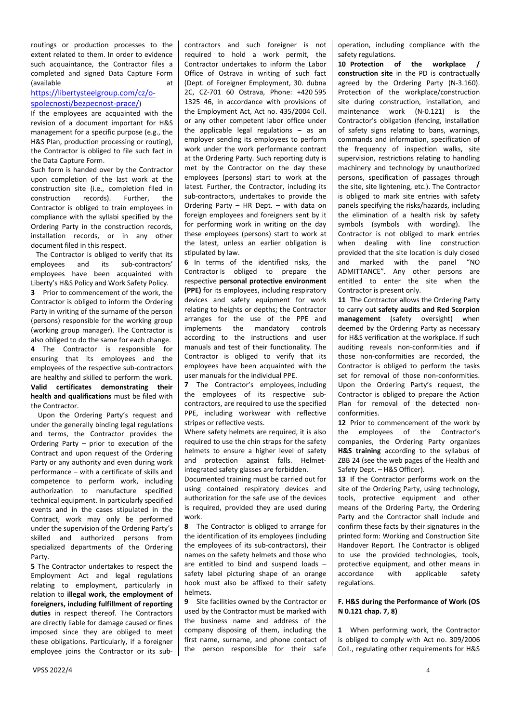routings or production processes to the extent related to them. In order to evidence such acquaintance, the Contractor files a completed and signed Data Capture Form (available at at a state at a state at a state at a state at a state at a state at a state at a state at a state  $\alpha$ 

# [https://libertysteelgroup.com/cz/o](https://libertysteelgroup.com/cz/o-spolecnosti/bezpecnost-prace/)[spolecnosti/bezpecnost-prace/](https://libertysteelgroup.com/cz/o-spolecnosti/bezpecnost-prace/))

If the employees are acquainted with the revision of a document important for H&S management for a specific purpose (e.g., the H&S Plan, production processing or routing), the Contractor is obliged to file such fact in the Data Capture Form.

Such form is handed over by the Contractor upon completion of the last work at the construction site (i.e., completion filed in construction records). Further, the Contractor is obliged to train employees in compliance with the syllabi specified by the Ordering Party in the construction records, installation records, or in any other document filed in this respect.

 The Contractor is obliged to verify that its employees and its sub-contractors' employees have been acquainted with Liberty's H&S Policy and Work Safety Policy. **3** Prior to commencement of the work, the Contractor is obliged to inform the Ordering Party in writing of the surname of the person (persons) responsible for the working group (working group manager). The Contractor is also obliged to do the same for each change. **4** The Contractor is responsible for ensuring that its employees and the employees of the respective sub-contractors are healthy and skilled to perform the work. **Valid certificates demonstrating their health and qualifications** must be filed with the Contractor.

 Upon the Ordering Party's request and under the generally binding legal regulations and terms, the Contractor provides the Ordering Party – prior to execution of the Contract and upon request of the Ordering Party or any authority and even during work performance – with a certificate of skills and competence to perform work, including authorization to manufacture specified technical equipment. In particularly specified events and in the cases stipulated in the Contract, work may only be performed under the supervision of the Ordering Party's skilled and authorized persons from specialized departments of the Ordering Party.

**5** The Contractor undertakes to respect the Employment Act and legal regulations relating to employment, particularly in relation to **illegal work, the employment of foreigners, including fulfillment of reporting duties** in respect thereof. The Contractors are directly liable for damage caused or fines imposed since they are obliged to meet these obligations. Particularly, if a foreigner employee joins the Contractor or its subcontractors and such foreigner is not required to hold a work permit, the Contractor undertakes to inform the Labor Office of Ostrava in writing of such fact (Dept. of Foreigner Employment, 30. dubna 2C, CZ-701 60 Ostrava, Phone: +420 595 1325 46, in accordance with provisions of the Employment Act, Act no. 435/2004 Coll. or any other competent labor office under the applicable legal regulations – as an employer sending its employees to perform work under the work performance contract at the Ordering Party. Such reporting duty is met by the Contractor on the day these employees (persons) start to work at the latest. Further, the Contractor, including its sub-contractors, undertakes to provide the Ordering Party – HR Dept. – with data on foreign employees and foreigners sent by it for performing work in writing on the day these employees (persons) start to work at the latest, unless an earlier obligation is stipulated by law.

**6** In terms of the identified risks, the Contractor is obliged to prepare the respective **personal protective environment (PPE)** for its employees, including respiratory devices and safety equipment for work relating to heights or depths; the Contractor arranges for the use of the PPE and implements the mandatory controls according to the instructions and user manuals and test of their functionality. The Contractor is obliged to verify that its employees have been acquainted with the user manuals for the individual PPE.

**7** The Contractor's employees, including the employees of its respective subcontractors, are required to use the specified PPE, including workwear with reflective stripes or reflective vests.

Where safety helmets are required, it is also required to use the chin straps for the safety helmets to ensure a higher level of safety and protection against falls. Helmetintegrated safety glasses are forbidden.

Documented training must be carried out for using contained respiratory devices and authorization for the safe use of the devices is required, provided they are used during work.

**8** The Contractor is obliged to arrange for the identification of its employees (including the employees of its sub-contractors), their names on the safety helmets and those who are entitled to bind and suspend loads – safety label picturing shape of an orange hook must also be affixed to their safety helmets.

**9** Site facilities owned by the Contractor or used by the Contractor must be marked with the business name and address of the company disposing of them, including the first name, surname, and phone contact of the person responsible for their safe operation, including compliance with the safety regulations.

**10 Protection of the workplace / construction site** in the PD is contractually agreed by the Ordering Party (N-3.160). Protection of the workplace/construction site during construction, installation, and maintenance work (N-0.121) is the Contractor's obligation (fencing, installation of safety signs relating to bans, warnings, commands and information, specification of the frequency of inspection walks, site supervision, restrictions relating to handling machinery and technology by unauthorized persons, specification of passages through the site, site lightening, etc.). The Contractor is obliged to mark site entries with safety panels specifying the risks/hazards, including the elimination of a health risk by safety symbols (symbols with wording). The Contractor is not obliged to mark entries when dealing with line construction provided that the site location is duly closed and marked with the panel "NO ADMITTANCE". Any other persons are entitled to enter the site when the Contractor is present only.

**11** The Contractor allows the Ordering Party to carry out **safety audits and Red Scorpion management** (safety oversight) when deemed by the Ordering Party as necessary for H&S verification at the workplace. If such auditing reveals non-conformities and if those non-conformities are recorded, the Contractor is obliged to perform the tasks set for removal of those non-conformities. Upon the Ordering Party's request, the Contractor is obliged to prepare the Action Plan for removal of the detected nonconformities.

**12** Prior to commencement of the work by the employees of the Contractor's companies, the Ordering Party organizes **H&S training** according to the syllabus of ZBB 24 (see the web pages of the Health and Safety Dept. – H&S Officer).

**13** If the Contractor performs work on the site of the Ordering Party, using technology, tools, protective equipment and other means of the Ordering Party, the Ordering Party and the Contractor shall include and confirm these facts by their signatures in the printed form: Working and Construction Site Handover Report. The Contractor is obliged to use the provided technologies, tools, protective equipment, and other means in accordance with applicable safety regulations.

#### **F. H&S during the Performance of Work (OS N 0.121 chap. 7, 8)**

**1** When performing work, the Contractor is obliged to comply with Act no. 309/2006 Coll., regulating other requirements for H&S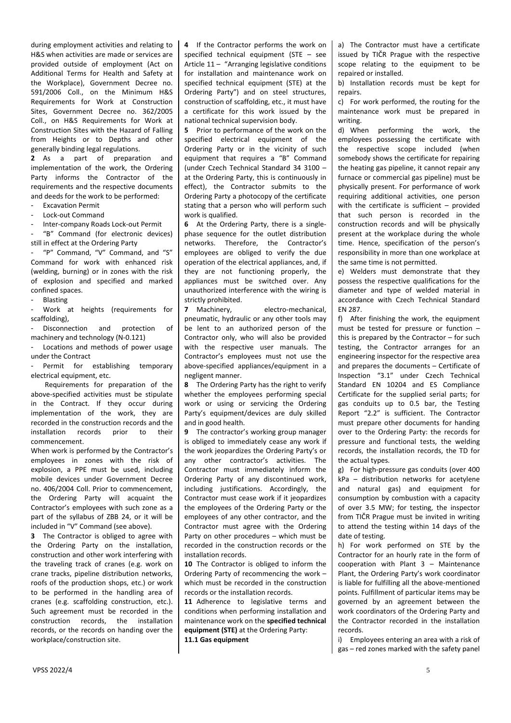during employment activities and relating to H&S when activities are made or services are provided outside of employment (Act on Additional Terms for Health and Safety at the Workplace), Government Decree no. 591/2006 Coll., on the Minimum H&S Requirements for Work at Construction Sites, Government Decree no. 362/2005 Coll., on H&S Requirements for Work at Construction Sites with the Hazard of Falling from Heights or to Depths and other generally binding legal regulations.

**2** As a part of preparation and implementation of the work, the Ordering Party informs the Contractor of the requirements and the respective documents and deeds for the work to be performed:

- Excavation Permit

- Lock-out Command

- Inter-company Roads Lock-out Permit "B" Command (for electronic devices)

still in effect at the Ordering Party

"P" Command, "V" Command, and "S" Command for work with enhanced risk (welding, burning) or in zones with the risk of explosion and specified and marked confined spaces.

**Blasting** 

Work at heights (requirements for scaffolding),

Disconnection and protection of machinery and technology (N-0.121)

Locations and methods of power usage under the Contract

Permit for establishing temporary electrical equipment, etc.

 Requirements for preparation of the above-specified activities must be stipulate in the Contract. If they occur during implementation of the work, they are recorded in the construction records and the installation records prior to their commencement.

When work is performed by the Contractor's employees in zones with the risk of explosion, a PPE must be used, including mobile devices under Government Decree no. 406/2004 Coll. Prior to commencement, the Ordering Party will acquaint the Contractor's employees with such zone as a part of the syllabus of ZBB 24, or it will be included in "V" Command (see above).

**3** The Contractor is obliged to agree with the Ordering Party on the installation, construction and other work interfering with the traveling track of cranes (e.g. work on crane tracks, pipeline distribution networks, roofs of the production shops, etc.) or work to be performed in the handling area of cranes (e.g. scaffolding construction, etc.). Such agreement must be recorded in the construction records, the installation records, or the records on handing over the workplace/construction site.

**4** If the Contractor performs the work on specified technical equipment (STE – see Article 11 – "Arranging legislative conditions for installation and maintenance work on specified technical equipment (STE) at the Ordering Party") and on steel structures, construction of scaffolding, etc., it must have a certificate for this work issued by the national technical supervision body.

**5** Prior to performance of the work on the specified electrical equipment of the Ordering Party or in the vicinity of such equipment that requires a "B" Command (under Czech Technical Standard 34 3100 – at the Ordering Party, this is continuously in effect), the Contractor submits to the Ordering Party a photocopy of the certificate stating that a person who will perform such work is qualified.

**6** At the Ordering Party, there is a singlephase sequence for the outlet distribution networks. Therefore, the Contractor's employees are obliged to verify the due operation of the electrical appliances, and, if they are not functioning properly, the appliances must be switched over. Any unauthorized interference with the wiring is strictly prohibited.

**7** Machinery, electro-mechanical, pneumatic, hydraulic or any other tools may be lent to an authorized person of the Contractor only, who will also be provided with the respective user manuals. The Contractor's employees must not use the above-specified appliances/equipment in a negligent manner.

**8** The Ordering Party has the right to verify whether the employees performing special work or using or servicing the Ordering Party's equipment/devices are duly skilled and in good health.

**9** The contractor's working group manager is obliged to immediately cease any work if the work jeopardizes the Ordering Party's or any other contractor's activities. The Contractor must immediately inform the Ordering Party of any discontinued work, including justifications. Accordingly, the Contractor must cease work if it jeopardizes the employees of the Ordering Party or the employees of any other contractor, and the Contractor must agree with the Ordering Party on other procedures – which must be recorded in the construction records or the installation records.

**10** The Contractor is obliged to inform the Ordering Party of recommencing the work – which must be recorded in the construction records or the installation records.

**11** Adherence to legislative terms and conditions when performing installation and maintenance work on the **specified technical equipment (STE)** at the Ordering Party: **11.1 Gas equipment**

a) The Contractor must have a certificate issued by TIČR Prague with the respective scope relating to the equipment to be repaired or installed.

b) Installation records must be kept for repairs.

c) For work performed, the routing for the maintenance work must be prepared in writing.

d) When performing the work, the employees possessing the certificate with the respective scope included (when somebody shows the certificate for repairing the heating gas pipeline, it cannot repair any furnace or commercial gas pipeline) must be physically present. For performance of work requiring additional activities, one person with the certificate is sufficient – provided that such person is recorded in the construction records and will be physically present at the workplace during the whole time. Hence, specification of the person's responsibility in more than one workplace at the same time is not permitted.

e) Welders must demonstrate that they possess the respective qualifications for the diameter and type of welded material in accordance with Czech Technical Standard EN 287.

f) After finishing the work, the equipment must be tested for pressure or function – this is prepared by the Contractor – for such testing, the Contractor arranges for an engineering inspector for the respective area and prepares the documents – Certificate of Inspection "3.1" under Czech Technical Standard EN 10204 and ES Compliance Certificate for the supplied serial parts; for gas conduits up to 0.5 bar, the Testing Report "2.2" is sufficient. The Contractor must prepare other documents for handing over to the Ordering Party: the records for pressure and functional tests, the welding records, the installation records, the TD for the actual types.

g) For high-pressure gas conduits (over 400 kPa – distribution networks for acetylene and natural gas) and equipment for consumption by combustion with a capacity of over 3.5 MW; for testing, the inspector from TIČR Prague must be invited in writing to attend the testing within 14 days of the date of testing.

h) For work performed on STE by the Contractor for an hourly rate in the form of cooperation with Plant 3 – Maintenance Plant, the Ordering Party's work coordinator is liable for fulfilling all the above-mentioned points. Fulfillment of particular items may be governed by an agreement between the work coordinators of the Ordering Party and the Contractor recorded in the installation records.

i) Employees entering an area with a risk of gas – red zones marked with the safety panel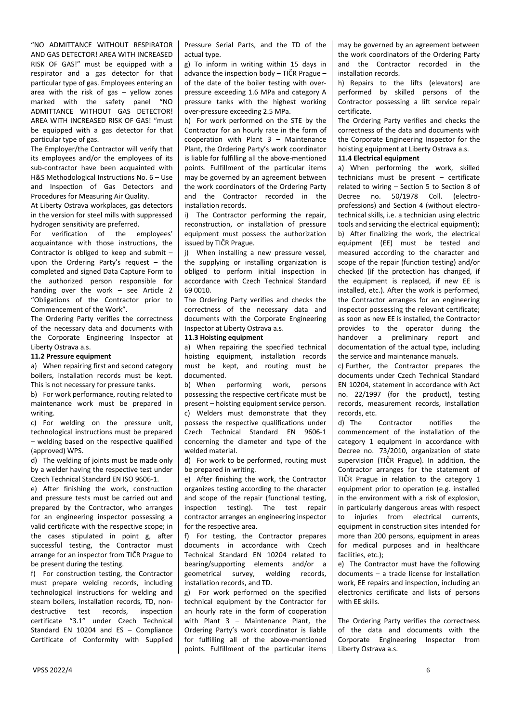"NO ADMITTANCE WITHOUT RESPIRATOR AND GAS DETECTOR! AREA WITH INCREASED RISK OF GAS!" must be equipped with a respirator and a gas detector for that particular type of gas. Employees entering an area with the risk of gas – yellow zones marked with the safety panel "NO ADMITTANCE WITHOUT GAS DETECTOR! AREA WITH INCREASED RISK OF GAS! "must be equipped with a gas detector for that particular type of gas.

The Employer/the Contractor will verify that its employees and/or the employees of its sub-contractor have been acquainted with H&S Methodological Instructions No. 6 – Use and Inspection of Gas Detectors and Procedures for Measuring Air Quality.

At Liberty Ostrava workplaces, gas detectors in the version for steel mills with suppressed hydrogen sensitivity are preferred.

For verification of the employees' acquaintance with those instructions, the Contractor is obliged to keep and submit – upon the Ordering Party's request – the completed and signed Data Capture Form to the authorized person responsible for handing over the work – see Article 2 "Obligations of the Contractor prior to Commencement of the Work".

The Ordering Party verifies the correctness of the necessary data and documents with the Corporate Engineering Inspector at Liberty Ostrava a.s.

# **11.2 Pressure equipment**

a) When repairing first and second category boilers, installation records must be kept. This is not necessary for pressure tanks.

b) For work performance, routing related to maintenance work must be prepared in writing.

c) For welding on the pressure unit, technological instructions must be prepared – welding based on the respective qualified (approved) WPS.

d) The welding of joints must be made only by a welder having the respective test under Czech Technical Standard EN ISO 9606-1.

e) After finishing the work, construction and pressure tests must be carried out and prepared by the Contractor, who arranges for an engineering inspector possessing a valid certificate with the respective scope; in the cases stipulated in point g, after successful testing, the Contractor must arrange for an inspector from TIČR Prague to be present during the testing.

f) For construction testing, the Contractor must prepare welding records, including technological instructions for welding and steam boilers, installation records, TD, nondestructive test records, inspection certificate "3.1" under Czech Technical Standard EN 10204 and ES – Compliance Certificate of Conformity with Supplied Pressure Serial Parts, and the TD of the actual type.

g) To inform in writing within 15 days in advance the inspection body – TIČR Prague – of the date of the boiler testing with overpressure exceeding 1.6 MPa and category A pressure tanks with the highest working over-pressure exceeding 2.5 MPa.

h) For work performed on the STE by the Contractor for an hourly rate in the form of cooperation with Plant 3 – Maintenance Plant, the Ordering Party's work coordinator is liable for fulfilling all the above-mentioned points. Fulfillment of the particular items may be governed by an agreement between the work coordinators of the Ordering Party and the Contractor recorded in the installation records.

i) The Contractor performing the repair, reconstruction, or installation of pressure equipment must possess the authorization issued by TIČR Prague.

j) When installing a new pressure vessel, the supplying or installing organization is obliged to perform initial inspection in accordance with Czech Technical Standard 69 0010.

The Ordering Party verifies and checks the correctness of the necessary data and documents with the Corporate Engineering Inspector at Liberty Ostrava a.s.

## **11.3 Hoisting equipment**

a) When repairing the specified technical hoisting equipment, installation records must be kept, and routing must be documented.

b) When performing work, persons possessing the respective certificate must be present – hoisting equipment service person. c) Welders must demonstrate that they possess the respective qualifications under Czech Technical Standard EN 9606-1 concerning the diameter and type of the welded material.

d) For work to be performed, routing must be prepared in writing.

e) After finishing the work, the Contractor organizes testing according to the character and scope of the repair (functional testing, inspection testing). The test repair contractor arranges an engineering inspector for the respective area.

f) For testing, the Contractor prepares documents in accordance with Czech Technical Standard EN 10204 related to bearing/supporting elements and/or a geometrical survey, welding records, installation records, and TD.

g) For work performed on the specified technical equipment by the Contractor for an hourly rate in the form of cooperation with Plant 3 – Maintenance Plant, the Ordering Party's work coordinator is liable for fulfilling all of the above-mentioned points. Fulfillment of the particular items

may be governed by an agreement between the work coordinators of the Ordering Party and the Contractor recorded in the installation records.

h) Repairs to the lifts (elevators) are performed by skilled persons of the Contractor possessing a lift service repair certificate.

The Ordering Party verifies and checks the correctness of the data and documents with the Corporate Engineering Inspector for the hoisting equipment at Liberty Ostrava a.s.

#### **11.4 Electrical equipment**

a) When performing the work, skilled technicians must be present – certificate related to wiring – Section 5 to Section 8 of Decree no. 50/1978 Coll. (electroprofessions) and Section 4 (without electrotechnical skills, i.e. a technician using electric tools and servicing the electrical equipment); b) After finalizing the work, the electrical equipment (EE) must be tested and measured according to the character and scope of the repair (function testing) and/or checked (if the protection has changed, if the equipment is replaced, if new EE is installed, etc.). After the work is performed, the Contractor arranges for an engineering inspector possessing the relevant certificate; as soon as new EE is installed, the Contractor provides to the operator during the handover a preliminary report and documentation of the actual type, including the service and maintenance manuals.

c) Further, the Contractor prepares the documents under Czech Technical Standard EN 10204, statement in accordance with Act no. 22/1997 (for the product), testing records, measurement records, installation records, etc.

d) The Contractor notifies the commencement of the installation of the category 1 equipment in accordance with Decree no. 73/2010, organization of state supervision (TIČR Prague). In addition, the Contractor arranges for the statement of TIČR Prague in relation to the category 1 equipment prior to operation (e.g. installed in the environment with a risk of explosion, in particularly dangerous areas with respect to injuries from electrical currents, equipment in construction sites intended for more than 200 persons, equipment in areas for medical purposes and in healthcare facilities, etc.);

e) The Contractor must have the following documents – a trade license for installation work, EE repairs and inspection, including an electronics certificate and lists of persons with EE skills.

The Ordering Party verifies the correctness of the data and documents with the Corporate Engineering Inspector from Liberty Ostrava a.s.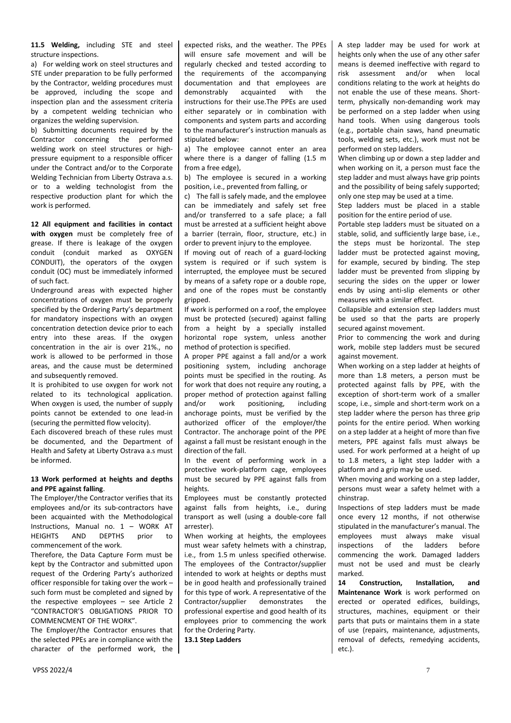**11.5 Welding,** including STE and steel structure inspections.

a) For welding work on steel structures and STE under preparation to be fully performed by the Contractor, welding procedures must be approved, including the scope and inspection plan and the assessment criteria by a competent welding technician who organizes the welding supervision.

b) Submitting documents required by the Contractor concerning the performed welding work on steel structures or highpressure equipment to a responsible officer under the Contract and/or to the Corporate Welding Technician from Liberty Ostrava a.s. or to a welding technologist from the respective production plant for which the work is performed.

**12 All equipment and facilities in contact with oxygen** must be completely free of grease. If there is leakage of the oxygen conduit (conduit marked as OXYGEN CONDUIT), the operators of the oxygen conduit (OC) must be immediately informed of such fact.

Underground areas with expected higher concentrations of oxygen must be properly specified by the Ordering Party's department for mandatory inspections with an oxygen concentration detection device prior to each entry into these areas. If the oxygen concentration in the air is over 21%., no work is allowed to be performed in those areas, and the cause must be determined and subsequently removed.

It is prohibited to use oxygen for work not related to its technological application. When oxygen is used, the number of supply points cannot be extended to one lead-in (securing the permitted flow velocity).

Each discovered breach of these rules must be documented, and the Department of Health and Safety at Liberty Ostrava a.s must be informed.

#### **13 Work performed at heights and depths and PPE against falling**.

The Employer/the Contractor verifies that its employees and/or its sub-contractors have been acquainted with the Methodological Instructions, Manual no. 1 – WORK AT HEIGHTS AND DEPTHS prior to commencement of the work.

Therefore, the Data Capture Form must be kept by the Contractor and submitted upon request of the Ordering Party's authorized officer responsible for taking over the work – such form must be completed and signed by the respective employees – see Article 2 "CONTRACTOR'S OBLIGATIONS PRIOR TO COMMENCMENT OF THE WORK".

The Employer/the Contractor ensures that the selected PPEs are in compliance with the character of the performed work, the expected risks, and the weather. The PPEs will ensure safe movement and will be regularly checked and tested according to the requirements of the accompanying documentation and that employees are demonstrably acquainted with the instructions for their use.The PPEs are used either separately or in combination with components and system parts and according to the manufacturer's instruction manuals as stipulated below:

a) The employee cannot enter an area where there is a danger of falling (1.5 m from a free edge),

b) The employee is secured in a working position, i.e., prevented from falling, or

c) The fall is safely made, and the employee can be immediately and safely set free and/or transferred to a safe place; a fall must be arrested at a sufficient height above a barrier (terrain, floor, structure, etc.) in order to prevent injury to the employee.

If moving out of reach of a guard-locking system is required or if such system is interrupted, the employee must be secured by means of a safety rope or a double rope, and one of the ropes must be constantly gripped.

If work is performed on a roof, the employee must be protected (secured) against falling from a height by a specially installed horizontal rope system, unless another method of protection is specified.

A proper PPE against a fall and/or a work positioning system, including anchorage points must be specified in the routing. As for work that does not require any routing, a proper method of protection against falling and/or work positioning, including anchorage points, must be verified by the authorized officer of the employer/the Contractor. The anchorage point of the PPE against a fall must be resistant enough in the direction of the fall.

In the event of performing work in a protective work-platform cage, employees must be secured by PPE against falls from heights.

Employees must be constantly protected against falls from heights, i.e., during transport as well (using a double-core fall arrester).

When working at heights, the employees must wear safety helmets with a chinstrap, i.e., from 1.5 m unless specified otherwise. The employees of the Contractor/supplier intended to work at heights or depths must be in good health and professionally trained for this type of work. A representative of the Contractor/supplier demonstrates the professional expertise and good health of its employees prior to commencing the work for the Ordering Party.

**13.1 Step Ladders**

A step ladder may be used for work at heights only when the use of any other safer means is deemed ineffective with regard to risk assessment and/or when local conditions relating to the work at heights do not enable the use of these means. Shortterm, physically non-demanding work may be performed on a step ladder when using hand tools. When using dangerous tools (e.g., portable chain saws, hand pneumatic tools, welding sets, etc.), work must not be performed on step ladders.

When climbing up or down a step ladder and when working on it, a person must face the step ladder and must always have grip points and the possibility of being safely supported; only one step may be used at a time.

Step ladders must be placed in a stable position for the entire period of use.

Portable step ladders must be situated on a stable, solid, and sufficiently large base, i.e., the steps must be horizontal. The step ladder must be protected against moving, for example, secured by binding. The step ladder must be prevented from slipping by securing the sides on the upper or lower ends by using anti-slip elements or other measures with a similar effect.

Collapsible and extension step ladders must be used so that the parts are properly secured against movement.

Prior to commencing the work and during work, mobile step ladders must be secured against movement.

When working on a step ladder at heights of more than 1.8 meters, a person must be protected against falls by PPE, with the exception of short-term work of a smaller scope, i.e., simple and short-term work on a step ladder where the person has three grip points for the entire period. When working on a step ladder at a height of more than five meters, PPE against falls must always be used. For work performed at a height of up to 1.8 meters, a light step ladder with a platform and a grip may be used.

When moving and working on a step ladder, persons must wear a safety helmet with a chinstrap.

Inspections of step ladders must be made once every 12 months, if not otherwise stipulated in the manufacturer's manual. The employees must always make visual inspections of the ladders before commencing the work. Damaged ladders must not be used and must be clearly marked.

**14 Construction, Installation, and Maintenance Work** is work performed on erected or operated edifices, buildings, structures, machines, equipment or their parts that puts or maintains them in a state of use (repairs, maintenance, adjustments, removal of defects, remedying accidents, etc.).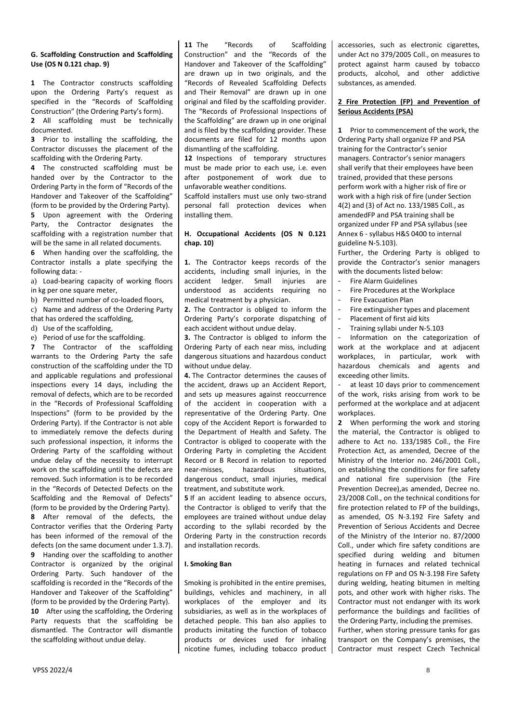#### **G. Scaffolding Construction and Scaffolding Use (OS N 0.121 chap. 9)**

**1** The Contractor constructs scaffolding upon the Ordering Party's request as specified in the "Records of Scaffolding Construction" (the Ordering Party's form). **2** All scaffolding must be technically

documented.

**3** Prior to installing the scaffolding, the Contractor discusses the placement of the scaffolding with the Ordering Party.

**4** The constructed scaffolding must be handed over by the Contractor to the Ordering Party in the form of "Records of the Handover and Takeover of the Scaffolding" (form to be provided by the Ordering Party).

**5** Upon agreement with the Ordering Party, the Contractor designates the scaffolding with a registration number that will be the same in all related documents.

**6** When handing over the scaffolding, the Contractor installs a plate specifying the following data: -

a) Load-bearing capacity of working floors in kg per one square meter,

b) Permitted number of co-loaded floors,

c) Name and address of the Ordering Party that has ordered the scaffolding,

d) Use of the scaffolding,

e) Period of use for the scaffolding.

**7** The Contractor of the scaffolding warrants to the Ordering Party the safe construction of the scaffolding under the TD and applicable regulations and professional inspections every 14 days, including the removal of defects, which are to be recorded in the "Records of Professional Scaffolding Inspections" (form to be provided by the Ordering Party). If the Contractor is not able to immediately remove the defects during such professional inspection, it informs the Ordering Party of the scaffolding without undue delay of the necessity to interrupt work on the scaffolding until the defects are removed. Such information is to be recorded in the "Records of Detected Defects on the Scaffolding and the Removal of Defects" (form to be provided by the Ordering Party).

**8** After removal of the defects, the Contractor verifies that the Ordering Party has been informed of the removal of the defects (on the same document under 1.3.7). **9** Handing over the scaffolding to another Contractor is organized by the original Ordering Party. Such handover of the scaffolding is recorded in the "Records of the Handover and Takeover of the Scaffolding" (form to be provided by the Ordering Party). **10** After using the scaffolding, the Ordering Party requests that the scaffolding be dismantled. The Contractor will dismantle the scaffolding without undue delay.

**11** The "Records of Scaffolding Construction" and the "Records of the Handover and Takeover of the Scaffolding" are drawn up in two originals, and the "Records of Revealed Scaffolding Defects and Their Removal" are drawn up in one original and filed by the scaffolding provider. The "Records of Professional Inspections of the Scaffolding" are drawn up in one original and is filed by the scaffolding provider. These documents are filed for 12 months upon dismantling of the scaffolding.

**12** Inspections of temporary structures must be made prior to each use, i.e. even after postponement of work due to unfavorable weather conditions.

Scaffold installers must use only two-strand personal fall protection devices when installing them.

## **H. Occupational Accidents (OS N 0.121 chap. 10)**

**1.** The Contractor keeps records of the accidents, including small injuries, in the accident ledger. Small injuries are understood as accidents requiring no medical treatment by a physician.

**2.** The Contractor is obliged to inform the Ordering Party's corporate dispatching of each accident without undue delay.

**3.** The Contractor is obliged to inform the Ordering Party of each near miss, including dangerous situations and hazardous conduct without undue delay.

**4.** The Contractor determines the causes of the accident, draws up an Accident Report, and sets up measures against reoccurrence of the accident in cooperation with a representative of the Ordering Party. One copy of the Accident Report is forwarded to the Department of Health and Safety. The Contractor is obliged to cooperate with the Ordering Party in completing the Accident Record or B Record in relation to reported near-misses, hazardous situations, dangerous conduct, small injuries, medical treatment, and substitute work.

**5** If an accident leading to absence occurs, the Contractor is obliged to verify that the employees are trained without undue delay according to the syllabi recorded by the Ordering Party in the construction records and installation records.

#### **I. Smoking Ban**

Smoking is prohibited in the entire premises, buildings, vehicles and machinery, in all workplaces of the employer and its subsidiaries, as well as in the workplaces of detached people. This ban also applies to products imitating the function of tobacco products or devices used for inhaling nicotine fumes, including tobacco product

accessories, such as electronic cigarettes, under Act no 379/2005 Coll., on measures to protect against harm caused by tobacco products, alcohol, and other addictive substances, as amended.

# **2 Fire Protection (FP) and Prevention of Serious Accidents (PSA)**

**1** Prior to commencement of the work, the Ordering Party shall organize FP and PSA training for the Contractor's senior managers. Contractor's senior managers shall verify that their employees have been trained, provided that these persons perform work with a higher risk of fire or work with a high risk of fire (under Section 4(2) and (3) of Act no. 133/1985 Coll., as amendedFP and PSA training shall be organized under FP and PSA syllabus (see Annex 6 - syllabus H&S 0400 to internal guideline N-5.103).

Further, the Ordering Party is obliged to provide the Contractor's senior managers with the documents listed below:

- Fire Alarm Guidelines
- Fire Procedures at the Workplace
- Fire Evacuation Plan
- Fire extinguisher types and placement
- Placement of first aid kits
- Training syllabi under N-5.103

- Information on the categorization of work at the workplace and at adjacent workplaces, in particular, work with hazardous chemicals and agents and exceeding other limits.

at least 10 days prior to commencement of the work, risks arising from work to be performed at the workplace and at adjacent workplaces.

**2** When performing the work and storing the material, the Contractor is obliged to adhere to Act no. 133/1985 Coll., the Fire Protection Act, as amended, Decree of the Ministry of the Interior no. 246/2001 Coll., on establishing the conditions for fire safety and national fire supervision (the Fire Prevention Decree),as amended, Decree no. 23/2008 Coll., on the technical conditions for fire protection related to FP of the buildings, as amended, OS N-3.192 Fire Safety and Prevention of Serious Accidents and Decree of the Ministry of the Interior no. 87/2000 Coll., under which fire safety conditions are specified during welding and bitumen heating in furnaces and related technical regulations on FP and OS N-3.198 Fire Safety during welding, heating bitumen in melting pots, and other work with higher risks. The Contractor must not endanger with its work performance the buildings and facilities of the Ordering Party, including the premises.

Further, when storing pressure tanks for gas transport on the Company's premises, the Contractor must respect Czech Technical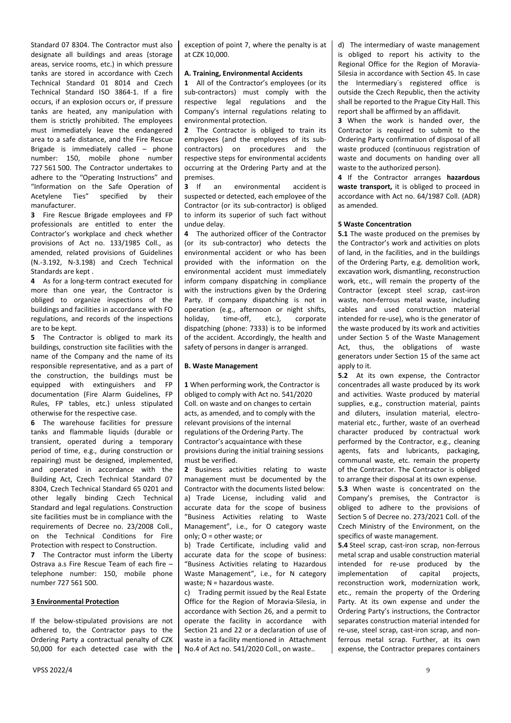Standard 07 8304. The Contractor must also designate all buildings and areas (storage areas, service rooms, etc.) in which pressure tanks are stored in accordance with Czech Technical Standard 01 8014 and Czech Technical Standard ISO 3864-1. If a fire occurs, if an explosion occurs or, if pressure tanks are heated, any manipulation with them is strictly prohibited. The employees must immediately leave the endangered area to a safe distance, and the Fire Rescue Brigade is immediately called – phone number: 150, mobile phone number 727 561 500. The Contractor undertakes to adhere to the "Operating Instructions" and "Information on the Safe Operation of Acetylene Ties" specified by their manufacturer.

**3** Fire Rescue Brigade employees and FP professionals are entitled to enter the Contractor's workplace and check whether provisions of Act no. 133/1985 Coll., as amended, related provisions of Guidelines (N.-3.192, N-3.198) and Czech Technical Standards are kept .

**4** As for a long-term contract executed for more than one year, the Contractor is obliged to organize inspections of the buildings and facilities in accordance with FO regulations, and records of the inspections are to be kept.

**5** The Contractor is obliged to mark its buildings, construction site facilities with the name of the Company and the name of its responsible representative, and as a part of the construction, the buildings must be equipped with extinguishers and FP documentation (Fire Alarm Guidelines, FP Rules, FP tables, etc.) unless stipulated otherwise for the respective case.

**6** The warehouse facilities for pressure tanks and flammable liquids (durable or transient, operated during a temporary period of time, e.g., during construction or repairing) must be designed, implemented, and operated in accordance with the Building Act, Czech Technical Standard 07 8304, Czech Technical Standard 65 0201 and other legally binding Czech Technical Standard and legal regulations. Construction site facilities must be in compliance with the requirements of Decree no. 23/2008 Coll., on the Technical Conditions for Fire Protection with respect to Construction.

**7** The Contractor must inform the Liberty Ostrava a.s Fire Rescue Team of each fire – telephone number: 150, mobile phone number 727 561 500.

#### **3 Environmental Protection**

If the below-stipulated provisions are not adhered to, the Contractor pays to the Ordering Party a contractual penalty of CZK 50,000 for each detected case with the exception of point 7, where the penalty is at at CZK 10,000.

#### **A. Training, Environmental Accidents**

**1** All of the Contractor's employees (or its sub-contractors) must comply with the respective legal regulations and the Company's internal regulations relating to environmental protection.

**2** The Contractor is obliged to train its employees (and the employees of its subcontractors) on procedures and the respective steps for environmental accidents occurring at the Ordering Party and at the premises.<br>**3** If an

**annumental** accident is suspected or detected, each employee of the Contractor (or its sub-contractor) is obliged to inform its superior of such fact without undue delay.

**4** The authorized officer of the Contractor (or its sub-contractor) who detects the environmental accident or who has been provided with the information on the environmental accident must immediately inform company dispatching in compliance with the instructions given by the Ordering Party. If company dispatching is not in operation (e.g., afternoon or night shifts,<br>holidav. time-off, etc.), corporate holiday, time-off, etc.), corporate dispatching (phone: 7333) is to be informed of the accident. Accordingly, the health and safety of persons in danger is arranged.

#### **B. Waste Management**

**1** When performing work, the Contractor is obliged to comply with Act no. 541/2020 Coll. on waste and on changes to certain acts, as amended, and to comply with the relevant provisions of the internal regulations of the Ordering Party. The Contractor's acquaintance with these provisions during the initial training sessions must be verified.

**2** Business activities relating to waste management must be documented by the Contractor with the documents listed below: a) Trade License, including valid and accurate data for the scope of business "Business Activities relating to Waste Management", i.e., for O category waste only; O = other waste; or

b) Trade Certificate, including valid and accurate data for the scope of business: "Business Activities relating to Hazardous Waste Management", i.e., for N category waste; N = hazardous waste.

c) Trading permit issued by the Real Estate Office for the Region of Moravia-Silesia, in accordance with Section 26, and a permit to operate the facility in accordance with Section 21 and 22 or a declaration of use of waste in a facility mentioned in Attachment No.4 of Act no. 541/2020 Coll., on waste..

d) The intermediary of waste management is obliged to report his activity to the Regional Office for the Region of Moravia-Silesia in accordance with Section 45. In case the Intermediary´s registered office is outside the Czech Republic, then the activity shall be reported to the Prague City Hall. This report shall be affirmed by an affidavit.

**3** When the work is handed over, the Contractor is required to submit to the Ordering Party confirmation of disposal of all waste produced (continuous registration of waste and documents on handing over all waste to the authorized person).

**4** If the Contractor arranges **hazardous waste transport,** it is obliged to proceed in accordance with Act no. 64/1987 Coll. (ADR) as amended.

#### **5 Waste Concentration**

**5.1** The waste produced on the premises by the Contractor's work and activities on plots of land, in the facilities, and in the buildings of the Ordering Party, e.g. demolition work, excavation work, dismantling, reconstruction work, etc., will remain the property of the Contractor (except steel scrap, cast-iron waste, non-ferrous metal waste, including cables and used construction material intended for re-use), who is the generator of the waste produced by its work and activities under Section 5 of the Waste Management Act, thus, the obligations of waste generators under Section 15 of the same act apply to it.

**5.2** At its own expense, the Contractor concentrades all waste produced by its work and activities. Waste produced by material supplies, e.g., construction material, paints and diluters, insulation material, electromaterial etc., further, waste of an overhead character produced by contractual work performed by the Contractor, e.g., cleaning agents, fats and lubricants, packaging, communal waste, etc. remain the property of the Contractor. The Contractor is obliged to arrange their disposal at its own expense. **5.3** When waste is concentrated on the

Company's premises, the Contractor is obliged to adhere to the provisions of Section 5 of Decree no. 273/2021 Coll. of the Czech Ministry of the Environment, on the specifics of waste management.

**5.4** Steel scrap, cast-iron scrap, non-ferrous metal scrap and usable construction material intended for re-use produced by the implementation of capital projects, reconstruction work, modernization work, etc., remain the property of the Ordering Party. At its own expense and under the Ordering Party's instructions, the Contractor separates construction material intended for re-use, steel scrap, cast-iron scrap, and nonferrous metal scrap. Further, at its own expense, the Contractor prepares containers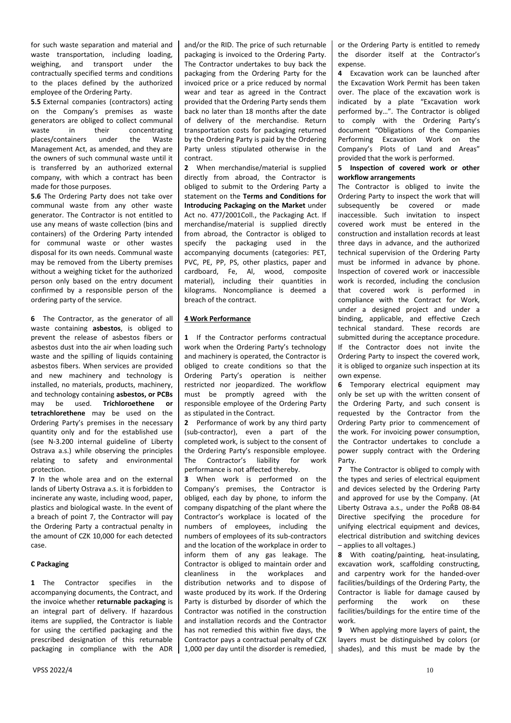for such waste separation and material and waste transportation, including loading, weighing, and transport under the contractually specified terms and conditions to the places defined by the authorized employee of the Ordering Party.

**5.5** External companies (contractors) acting on the Company's premises as waste generators are obliged to collect communal waste in their concentrating places/containers under the Waste Management Act, as amended, and they are the owners of such communal waste until it is transferred by an authorized external company, with which a contract has been made for those purposes.

**5.6** The Ordering Party does not take over communal waste from any other waste generator. The Contractor is not entitled to use any means of waste collection (bins and containers) of the Ordering Party intended for communal waste or other wastes disposal for its own needs. Communal waste may be removed from the Liberty premises without a weighing ticket for the authorized person only based on the entry document confirmed by a responsible person of the ordering party of the service.

**6** The Contractor, as the generator of all waste containing **asbestos**, is obliged to prevent the release of asbestos fibers or asbestos dust into the air when loading such waste and the spilling of liquids containing asbestos fibers. When services are provided and new machinery and technology is installed, no materials, products, machinery, and technology containing **asbestos, or PCBs**  may be used. **Trichloroethene or tetrachlorethene** may be used on the Ordering Party's premises in the necessary quantity only and for the established use (see N-3.200 internal guideline of Liberty Ostrava a.s.) while observing the principles relating to safety and environmental protection.

**7** In the whole area and on the external lands of Liberty Ostrava a.s. it is forbidden to incinerate any waste, including wood, paper, plastics and biological waste. In the event of a breach of point 7, the Contractor will pay the Ordering Party a contractual penalty in the amount of CZK 10,000 for each detected case.

#### **C Packaging**

**1** The Contractor specifies in the accompanying documents, the Contract, and the invoice whether **returnable packaging** is an integral part of delivery. If hazardous items are supplied, the Contractor is liable for using the certified packaging and the prescribed designation of this returnable packaging in compliance with the ADR and/or the RID. The price of such returnable packaging is invoiced to the Ordering Party. The Contractor undertakes to buy back the packaging from the Ordering Party for the invoiced price or a price reduced by normal wear and tear as agreed in the Contract provided that the Ordering Party sends them back no later than 18 months after the date of delivery of the merchandise. Return transportation costs for packaging returned by the Ordering Party is paid by the Ordering Party unless stipulated otherwise in the contract.

**2** When merchandise/material is supplied directly from abroad, the Contractor is obliged to submit to the Ordering Party a statement on the **Terms and Conditions for Introducing Packaging on the Market** under Act no. 477/2001Coll., the Packaging Act. If merchandise/material is supplied directly from abroad, the Contractor is obliged to specify the packaging used in the accompanying documents (categories: PET, PVC, PE, PP, PS, other plastics, paper and cardboard, Fe, Al, wood, composite material), including their quantities in kilograms. Noncompliance is deemed a breach of the contract.

## **4 Work Performance**

**1** If the Contractor performs contractual work when the Ordering Party's technology and machinery is operated, the Contractor is obliged to create conditions so that the Ordering Party's operation is neither restricted nor jeopardized. The workflow must be promptly agreed with the responsible employee of the Ordering Party as stipulated in the Contract.

**2** Performance of work by any third party (sub-contractor), even a part of the completed work, is subject to the consent of the Ordering Party's responsible employee. The Contractor's liability for work performance is not affected thereby.

**3** When work is performed on the Company's premises, the Contractor is obliged, each day by phone, to inform the company dispatching of the plant where the Contractor's workplace is located of the numbers of employees, including the numbers of employees of its sub-contractors and the location of the workplace in order to inform them of any gas leakage. The Contractor is obliged to maintain order and cleanliness in the workplaces and distribution networks and to dispose of waste produced by its work. If the Ordering Party is disturbed by disorder of which the Contractor was notified in the construction and installation records and the Contractor has not remedied this within five days, the Contractor pays a contractual penalty of CZK 1,000 per day until the disorder is remedied,

or the Ordering Party is entitled to remedy the disorder itself at the Contractor's expense

**4** Excavation work can be launched after the Excavation Work Permit has been taken over. The place of the excavation work is indicated by a plate "Excavation work performed by…". The Contractor is obliged to comply with the Ordering Party's document "Obligations of the Companies Performing Excavation Work on the Company's Plots of Land and Areas" provided that the work is performed.

#### **5 Inspection of covered work or other workflow arrangements**

The Contractor is obliged to invite the Ordering Party to inspect the work that will subsequently be covered or made inaccessible. Such invitation to inspect covered work must be entered in the construction and installation records at least three days in advance, and the authorized technical supervision of the Ordering Party must be informed in advance by phone. Inspection of covered work or inaccessible work is recorded, including the conclusion that covered work is performed in compliance with the Contract for Work, under a designed project and under a binding, applicable, and effective Czech technical standard. These records are submitted during the acceptance procedure. If the Contractor does not invite the Ordering Party to inspect the covered work, it is obliged to organize such inspection at its own expense.

**6** Temporary electrical equipment may only be set up with the written consent of the Ordering Party, and such consent is requested by the Contractor from the Ordering Party prior to commencement of the work. For invoicing power consumption, the Contractor undertakes to conclude a power supply contract with the Ordering Party.

**7** The Contractor is obliged to comply with the types and series of electrical equipment and devices selected by the Ordering Party and approved for use by the Company. (At Liberty Ostrava a.s., under the PoŘB 08-B4 Directive specifying the procedure for unifying electrical equipment and devices, electrical distribution and switching devices – applies to all voltages.)

**8** With coating/painting, heat-insulating, excavation work, scaffolding constructing, and carpentry work for the handed-over facilities/buildings of the Ordering Party, the Contractor is liable for damage caused by performing the work on these facilities/buildings for the entire time of the work.

**9** When applying more layers of paint, the layers must be distinguished by colors (or shades), and this must be made by the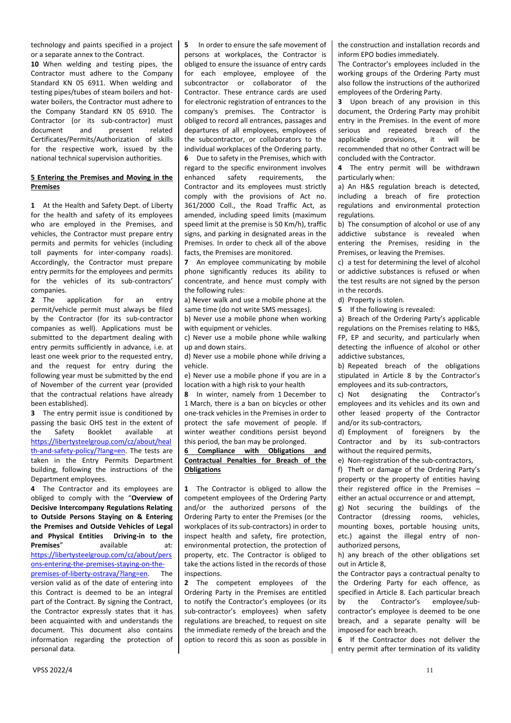technology and paints specified in a project or a separate annex to the Contract.

**10** When welding and testing pipes, the Contractor must adhere to the Company Standard KN 05 6911. When welding and testing pipes/tubes of steam boilers and hotwater boilers, the Contractor must adhere to the Company Standard KN 05 6910. The Contractor (or its sub-contractor) must document and present related Certificates/Permits/Authorization of skills for the respective work, issued by the national technical supervision authorities.

# **5 Entering the Premises and Moving in the Premises**

**1** At the Health and Safety Dept. of Liberty for the health and safety of its employees who are employed in the Premises, and vehicles, the Contractor must prepare entry permits and permits for vehicles (including toll payments for inter-company roads). Accordingly, the Contractor must prepare entry permits for the employees and permits for the vehicles of its sub-contractors' companies.<br>2 The

application for an entrv permit/vehicle permit must always be filed by the Contractor (for its sub-contractor companies as well). Applications must be submitted to the department dealing with entry permits sufficiently in advance, i.e. at least one week prior to the requested entry, and the request for entry during the following year must be submitted by the end of November of the current year (provided that the contractual relations have already been established).

**3** The entry permit issue is conditioned by passing the basic OHS test in the extent of the Safety Booklet available at [https://libertysteelgroup.com/cz/about/heal](https://libertysteelgroup.com/cz/about/health-and-safety-policy/?lang=en) [th-and-safety-policy/?lang=en.](https://libertysteelgroup.com/cz/about/health-and-safety-policy/?lang=en) The tests are taken in the Entry Permits Department building, following the instructions of the Department employees.

**4** The Contractor and its employees are obliged to comply with the "**Overview of Decisive Intercompany Regulations Relating to Outside Persons Staying on & Entering the Premises and Outside Vehicles of Legal and Physical Entities Driving-in to the Premises**" available at: [https://libertysteelgroup.com/cz/about/pers](https://libertysteelgroup.com/cz/about/persons-entering-the-premises-staying-on-the-premises-of-liberty-ostrava/?lang=en) [ons-entering-the-premises-staying-on-the](https://libertysteelgroup.com/cz/about/persons-entering-the-premises-staying-on-the-premises-of-liberty-ostrava/?lang=en)[premises-of-liberty-ostrava/?lang=en.](https://libertysteelgroup.com/cz/about/persons-entering-the-premises-staying-on-the-premises-of-liberty-ostrava/?lang=en) The version valid as of the date of entering into this Contract is deemed to be an integral part of the Contract. By signing the Contract, the Contractor expressly states that it has been acquainted with and understands the document. This document also contains information regarding the protection of personal data.

**5** In order to ensure the safe movement of persons at workplaces, the Contractor is obliged to ensure the issuance of entry cards for each employee, employee of the subcontractor or collaborator of the Contractor. These entrance cards are used for electronic registration of entrances to the company's premises. The Contractor is obliged to record all entrances, passages and departures of all employees, employees of the subcontractor, or collaborators to the individual workplaces of the Ordering party.

**6** Due to safety in the Premises, which with regard to the specific environment involves<br>enhanced safety requirements, the requirements, the Contractor and its employees must strictly comply with the provisions of Act no. 361/2000 Coll., the Road Traffic Act, as amended, including speed limits (maximum speed limit at the premise is 50 Km/h), traffic signs, and parking in designated areas in the Premises. In order to check all of the above facts, the Premises are monitored.

**7** An employee communicating by mobile phone significantly reduces its ability to concentrate, and hence must comply with the following rules:

a) Never walk and use a mobile phone at the same time (do not write SMS messages).

b) Never use a mobile phone when working with equipment or vehicles.

c) Never use a mobile phone while walking up and down stairs.

d) Never use a mobile phone while driving a vehicle.

e) Never use a mobile phone if you are in a location with a high risk to your health

**8** In winter, namely from 1 December to 1 March, there is a ban on bicycles or other one-track vehicles in the Premises in order to protect the safe movement of people. If winter weather conditions persist beyond this period, the ban may be prolonged.

#### **6 Compliance with Obligations and Contractual Penalties for Breach of the Obligations**

**1** The Contractor is obliged to allow the competent employees of the Ordering Party and/or the authorized persons of the Ordering Party to enter the Premises (or the workplaces of its sub-contractors) in order to inspect health and safety, fire protection, environmental protection, the protection of property, etc. The Contractor is obliged to take the actions listed in the records of those inspections

**2** The competent employees of the Ordering Party in the Premises are entitled to notify the Contractor's employees (or its sub-contractor's employees) when safety regulations are breached, to request on site the immediate remedy of the breach and the option to record this as soon as possible in

the construction and installation records and inform EPO bodies immediately.

The Contractor's employees included in the working groups of the Ordering Party must also follow the instructions of the authorized employees of the Ordering Party.

**3** Upon breach of any provision in this document, the Ordering Party may prohibit entry in the Premises. In the event of more serious and repeated breach of the applicable provisions, it will be recommended that no other Contract will be concluded with the Contractor.

**4** The entry permit will be withdrawn particularly when:

a) An H&S regulation breach is detected, including a breach of fire protection regulations and environmental protection regulations.

b) The consumption of alcohol or use of any addictive substance is revealed when entering the Premises, residing in the Premises, or leaving the Premises.

c) a test for determining the level of alcohol or addictive substances is refused or when the test results are not signed by the person in the records.

d) Property is stolen.

**5** If the following is revealed:

a) Breach of the Ordering Party's applicable regulations on the Premises relating to H&S, FP, EP and security, and particularly when detecting the influence of alcohol or other addictive substances,

b) Repeated breach of the obligations stipulated in Article 8 by the Contractor's employees and its sub-contractors,

c) Not designating the Contractor's employees and its vehicles and its own and other leased property of the Contractor and/or its sub-contractors,

d) Employment of foreigners by the Contractor and by its sub-contractors without the required permits,

e) Non-registration of the sub-contractors,

f) Theft or damage of the Ordering Party's property or the property of entities having their registered office in the Premises – either an actual occurrence or and attempt,

g) Not securing the buildings of the Contractor (dressing rooms, vehicles, mounting boxes, portable housing units, etc.) against the illegal entry of nonauthorized persons,

h) any breach of the other obligations set out in Article 8,

the Contractor pays a contractual penalty to the Ordering Party for each offence, as specified in Article 8. Each particular breach by the Contractor's employee/subcontractor's employee is deemed to be one breach, and a separate penalty will be imposed for each breach.

**6** If the Contractor does not deliver the entry permit after termination of its validity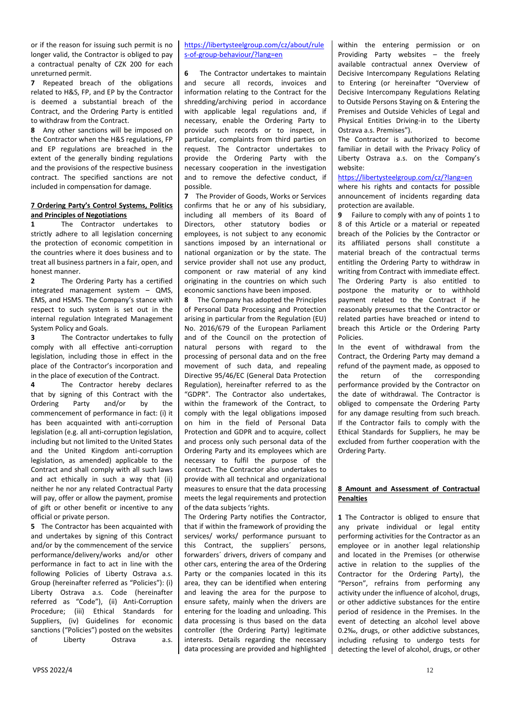or if the reason for issuing such permit is no longer valid, the Contractor is obliged to pay a contractual penalty of CZK 200 for each unreturned permit.

**7** Repeated breach of the obligations related to H&S, FP, and EP by the Contractor is deemed a substantial breach of the Contract, and the Ordering Party is entitled to withdraw from the Contract.

**8** Any other sanctions will be imposed on the Contractor when the H&S regulations, FP and EP regulations are breached in the extent of the generally binding regulations and the provisions of the respective business contract. The specified sanctions are not included in compensation for damage.

## **7 Ordering Party's Control Systems, Politics and Principles of Negotiations**

**1** The Contractor undertakes to strictly adhere to all legislation concerning the protection of economic competition in the countries where it does business and to treat all business partners in a fair, open, and honest manner.

**2** The Ordering Party has a certified integrated management system – QMS, EMS, and HSMS. The Company's stance with respect to such system is set out in the internal regulation Integrated Management System Policy and Goals.

**3** The Contractor undertakes to fully comply with all effective anti-corruption legislation, including those in effect in the place of the Contractor's incorporation and in the place of execution of the Contract.

**4** The Contractor hereby declares that by signing of this Contract with the Ordering Party and/or by the commencement of performance in fact: (i) it has been acquainted with anti-corruption legislation (e.g. all anti-corruption legislation, including but not limited to the United States and the United Kingdom anti-corruption legislation, as amended) applicable to the Contract and shall comply with all such laws and act ethically in such a way that (ii) neither he nor any related Contractual Party will pay, offer or allow the payment, promise of gift or other benefit or incentive to any official or private person.

**5** The Contractor has been acquainted with and undertakes by signing of this Contract and/or by the commencement of the service performance/delivery/works and/or other performance in fact to act in line with the following Policies of Liberty Ostrava a.s. Group (hereinafter referred as "Policies"): (i) Liberty Ostrava a.s. Code (hereinafter referred as "Code"), (ii) Anti-Corruption Procedure; (iii) Ethical Standards for Suppliers, (iv) Guidelines for economic sanctions ("Policies") posted on the websites of Liberty Ostrava a.s.

# [https://libertysteelgroup.com/cz/about/rule](https://libertysteelgroup.com/cz/about/rules-of-group-behaviour/?lang=en) [s-of-group-behaviour/?lang=en](https://libertysteelgroup.com/cz/about/rules-of-group-behaviour/?lang=en)

**6** The Contractor undertakes to maintain and secure all records, invoices and information relating to the Contract for the shredding/archiving period in accordance with applicable legal regulations and, if necessary, enable the Ordering Party to provide such records or to inspect, in particular, complaints from third parties on request. The Contractor undertakes to provide the Ordering Party with the necessary cooperation in the investigation and to remove the defective conduct, if possible.

**7** The Provider of Goods, Works or Services confirms that he or any of his subsidiary, including all members of its Board of Directors, other statutory bodies or employees, is not subject to any economic sanctions imposed by an international or national organization or by the state. The service provider shall not use any product, component or raw material of any kind originating in the countries on which such economic sanctions have been imposed.

**8** The Company has adopted the Principles of Personal Data Processing and Protection arising in particular from the Regulation (EU) No. 2016/679 of the European Parliament and of the Council on the protection of natural persons with regard to the processing of personal data and on the free movement of such data, and repealing Directive 95/46/EC (General Data Protection Regulation), hereinafter referred to as the "GDPR". The Contractor also undertakes, within the framework of the Contract, to comply with the legal obligations imposed on him in the field of Personal Data Protection and GDPR and to acquire, collect and process only such personal data of the Ordering Party and its employees which are necessary to fulfil the purpose of the contract. The Contractor also undertakes to provide with all technical and organizational measures to ensure that the data processing meets the legal requirements and protection of the data subjects 'rights.

The Ordering Party notifies the Contractor, that if within the framework of providing the services/ works/ performance pursuant to this Contract, the suppliers´ persons, forwarders´ drivers, drivers of company and other cars, entering the area of the Ordering Party or the companies located in this its area, they can be identified when entering and leaving the area for the purpose to ensure safety, mainly when the drivers are entering for the loading and unloading. This data processing is thus based on the data controller (the Ordering Party) legitimate interests. Details regarding the necessary data processing are provided and highlighted

within the entering permission or on Providing Party websites – the freely available contractual annex Overview of Decisive Intercompany Regulations Relating to Entering (or hereinafter "Overview of Decisive Intercompany Regulations Relating to Outside Persons Staying on & Entering the Premises and Outside Vehicles of Legal and Physical Entities Driving-in to the Liberty Ostrava a.s. Premises").

The Contractor is authorized to become familiar in detail with the Privacy Policy of Liberty Ostrava a.s. on the Company's website:

#### <https://libertysteelgroup.com/cz/?lang=en>

where his rights and contacts for possible announcement of incidents regarding data protection are available.

**9** Failure to comply with any of points 1 to 8 of this Article or a material or repeated breach of the Policies by the Contractor or its affiliated persons shall constitute a material breach of the contractual terms entitling the Ordering Party to withdraw in writing from Contract with immediate effect. The Ordering Party is also entitled to postpone the maturity or to withhold payment related to the Contract if he reasonably presumes that the Contractor or related parties have breached or intend to breach this Article or the Ordering Party Policies.

In the event of withdrawal from the Contract, the Ordering Party may demand a refund of the payment made, as opposed to the return of the corresponding performance provided by the Contractor on the date of withdrawal. The Contractor is obliged to compensate the Ordering Party for any damage resulting from such breach. If the Contractor fails to comply with the Ethical Standards for Suppliers, he may be excluded from further cooperation with the Ordering Party.

#### **8 Amount and Assessment of Contractual Penalties**

**1** The Contractor is obliged to ensure that any private individual or legal entity performing activities for the Contractor as an employee or in another legal relationship and located in the Premises (or otherwise active in relation to the supplies of the Contractor for the Ordering Party), the "Person", refrains from performing any activity under the influence of alcohol, drugs, or other addictive substances for the entire period of residence in the Premises. In the event of detecting an alcohol level above 0.2‰, drugs, or other addictive substances, including refusing to undergo tests for detecting the level of alcohol, drugs, or other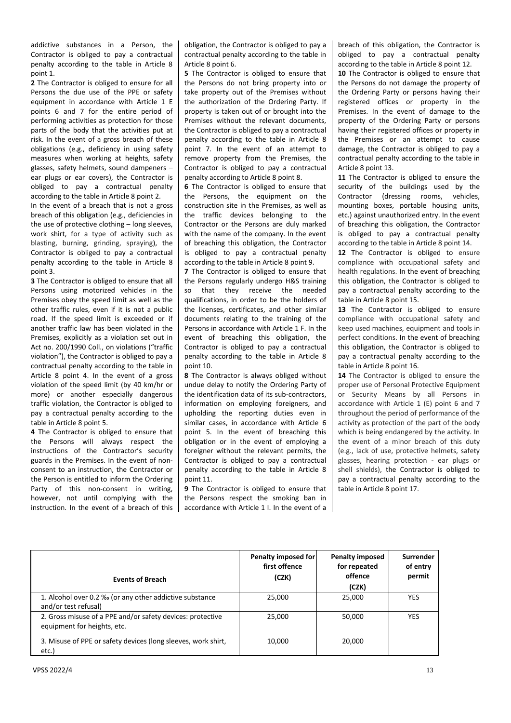addictive substances in a Person, the Contractor is obliged to pay a contractual penalty according to the table in Article 8 point 1.

**2** The Contractor is obliged to ensure for all Persons the due use of the PPE or safety equipment in accordance with Article 1 E points 6 and 7 for the entire period of performing activities as protection for those parts of the body that the activities put at risk. In the event of a gross breach of these obligations (e.g., deficiency in using safety measures when working at heights, safety glasses, safety helmets, sound dampeners – ear plugs or ear covers), the Contractor is obliged to pay a contractual penalty according to the table in Article 8 point 2.

In the event of a breach that is not a gross breach of this obligation (e.g., deficiencies in the use of protective clothing – long sleeves, work shirt, for a type of activity such as blasting, burning, grinding, spraying), the Contractor is obliged to pay a contractual penalty according to the table in Article 8 point 3.

**3** The Contractor is obliged to ensure that all Persons using motorized vehicles in the Premises obey the speed limit as well as the other traffic rules, even if it is not a public road. If the speed limit is exceeded or if another traffic law has been violated in the Premises, explicitly as a violation set out in Act no. 200/1990 Coll., on violations ("traffic violation"), the Contractor is obliged to pay a contractual penalty according to the table in Article 8 point 4. In the event of a gross violation of the speed limit (by 40 km/hr or more) or another especially dangerous traffic violation, the Contractor is obliged to pay a contractual penalty according to the table in Article 8 point 5.

**4** The Contractor is obliged to ensure that the Persons will always respect the instructions of the Contractor's security guards in the Premises. In the event of nonconsent to an instruction, the Contractor or the Person is entitled to inform the Ordering Party of this non-consent in writing, however, not until complying with the instruction. In the event of a breach of this obligation, the Contractor is obliged to pay a contractual penalty according to the table in Article 8 point 6.

**5** The Contractor is obliged to ensure that the Persons do not bring property into or take property out of the Premises without the authorization of the Ordering Party. If property is taken out of or brought into the Premises without the relevant documents, the Contractor is obliged to pay a contractual penalty according to the table in Article 8 point 7. In the event of an attempt to remove property from the Premises, the Contractor is obliged to pay a contractual penalty according to Article 8 point 8.

**6** The Contractor is obliged to ensure that the Persons, the equipment on the construction site in the Premises, as well as the traffic devices belonging to the Contractor or the Persons are duly marked with the name of the company. In the event of breaching this obligation, the Contractor is obliged to pay a contractual penalty according to the table in Article 8 point 9.

**7** The Contractor is obliged to ensure that the Persons regularly undergo H&S training so that they receive the needed qualifications, in order to be the holders of the licenses, certificates, and other similar documents relating to the training of the Persons in accordance with Article 1 F. In the event of breaching this obligation, the Contractor is obliged to pay a contractual penalty according to the table in Article 8 point 10.

**8** The Contractor is always obliged without undue delay to notify the Ordering Party of the identification data of its sub-contractors, information on employing foreigners, and upholding the reporting duties even in similar cases, in accordance with Article 6 point 5. In the event of breaching this obligation or in the event of employing a foreigner without the relevant permits, the Contractor is obliged to pay a contractual penalty according to the table in Article 8 point 11.

**9** The Contractor is obliged to ensure that the Persons respect the smoking ban in accordance with Article 1 I. In the event of a breach of this obligation, the Contractor is obliged to pay a contractual penalty according to the table in Article 8 point 12.

**10** The Contractor is obliged to ensure that the Persons do not damage the property of the Ordering Party or persons having their registered offices or property in the Premises. In the event of damage to the property of the Ordering Party or persons having their registered offices or property in the Premises or an attempt to cause damage, the Contractor is obliged to pay a contractual penalty according to the table in Article 8 point 13.

**11** The Contractor is obliged to ensure the security of the buildings used by the Contractor (dressing rooms, vehicles, mounting boxes, portable housing units, etc.) against unauthorized entry. In the event of breaching this obligation, the Contractor is obliged to pay a contractual penalty according to the table in Article 8 point 14.

12 The Contractor is obliged to ensure compliance with occupational safety and health regulations. In the event of breaching this obligation, the Contractor is obliged to pay a contractual penalty according to the table in Article 8 point 15.

**13** The Contractor is obliged to ensure compliance with occupational safety and keep used machines, equipment and tools in perfect conditions. In the event of breaching this obligation, the Contractor is obliged to pay a contractual penalty according to the table in Article 8 point 16.

14 The Contractor is obliged to ensure the proper use of Personal Protective Equipment or Security Means by all Persons in accordance with Article 1 (E) point 6 and 7 throughout the period of performance of the activity as protection of the part of the body which is being endangered by the activity. In the event of a minor breach of this duty (e.g., lack of use, protective helmets, safety glasses, hearing protection - ear plugs or shell shields), the Contractor is obliged to pay a contractual penalty according to the table in Article 8 point 17.

| <b>Events of Breach</b>                                                                   | Penalty imposed for<br>first offence<br>(CZK) | <b>Penalty imposed</b><br>for repeated<br>offence<br>(CZK) | Surrender<br>of entry<br>permit |
|-------------------------------------------------------------------------------------------|-----------------------------------------------|------------------------------------------------------------|---------------------------------|
| 1. Alcohol over 0.2 ‰ (or any other addictive substance<br>and/or test refusal)           | 25,000                                        | 25,000                                                     | <b>YES</b>                      |
| 2. Gross misuse of a PPE and/or safety devices: protective<br>equipment for heights, etc. | 25.000                                        | 50,000                                                     | <b>YES</b>                      |
| 3. Misuse of PPE or safety devices (long sleeves, work shirt,<br>etc.)                    | 10.000                                        | 20,000                                                     |                                 |